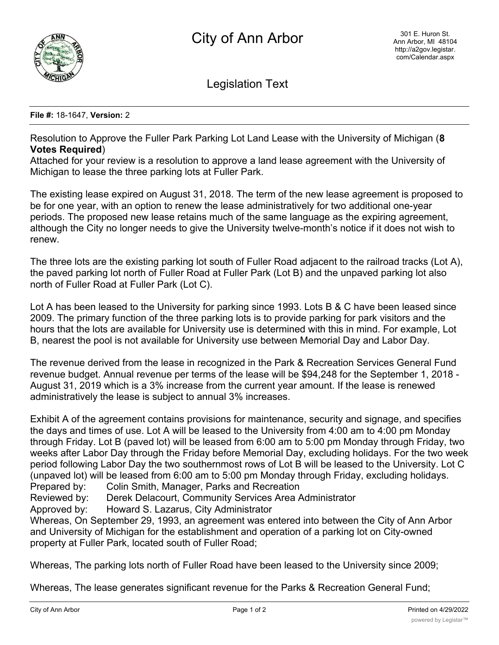

Legislation Text

## **File #:** 18-1647, **Version:** 2

Resolution to Approve the Fuller Park Parking Lot Land Lease with the University of Michigan (**8 Votes Required**)

Attached for your review is a resolution to approve a land lease agreement with the University of Michigan to lease the three parking lots at Fuller Park.

The existing lease expired on August 31, 2018. The term of the new lease agreement is proposed to be for one year, with an option to renew the lease administratively for two additional one-year periods. The proposed new lease retains much of the same language as the expiring agreement, although the City no longer needs to give the University twelve-month's notice if it does not wish to renew.

The three lots are the existing parking lot south of Fuller Road adjacent to the railroad tracks (Lot A), the paved parking lot north of Fuller Road at Fuller Park (Lot B) and the unpaved parking lot also north of Fuller Road at Fuller Park (Lot C).

Lot A has been leased to the University for parking since 1993. Lots B & C have been leased since 2009. The primary function of the three parking lots is to provide parking for park visitors and the hours that the lots are available for University use is determined with this in mind. For example, Lot B, nearest the pool is not available for University use between Memorial Day and Labor Day.

The revenue derived from the lease in recognized in the Park & Recreation Services General Fund revenue budget. Annual revenue per terms of the lease will be \$94,248 for the September 1, 2018 - August 31, 2019 which is a 3% increase from the current year amount. If the lease is renewed administratively the lease is subject to annual 3% increases.

Exhibit A of the agreement contains provisions for maintenance, security and signage, and specifies the days and times of use. Lot A will be leased to the University from 4:00 am to 4:00 pm Monday through Friday. Lot B (paved lot) will be leased from 6:00 am to 5:00 pm Monday through Friday, two weeks after Labor Day through the Friday before Memorial Day, excluding holidays. For the two week period following Labor Day the two southernmost rows of Lot B will be leased to the University. Lot C (unpaved lot) will be leased from 6:00 am to 5:00 pm Monday through Friday, excluding holidays. Prepared by: Colin Smith, Manager, Parks and Recreation

Reviewed by: Derek Delacourt, Community Services Area Administrator

Approved by: Howard S. Lazarus, City Administrator

Whereas, On September 29, 1993, an agreement was entered into between the City of Ann Arbor and University of Michigan for the establishment and operation of a parking lot on City-owned property at Fuller Park, located south of Fuller Road;

Whereas, The parking lots north of Fuller Road have been leased to the University since 2009;

Whereas, The lease generates significant revenue for the Parks & Recreation General Fund;